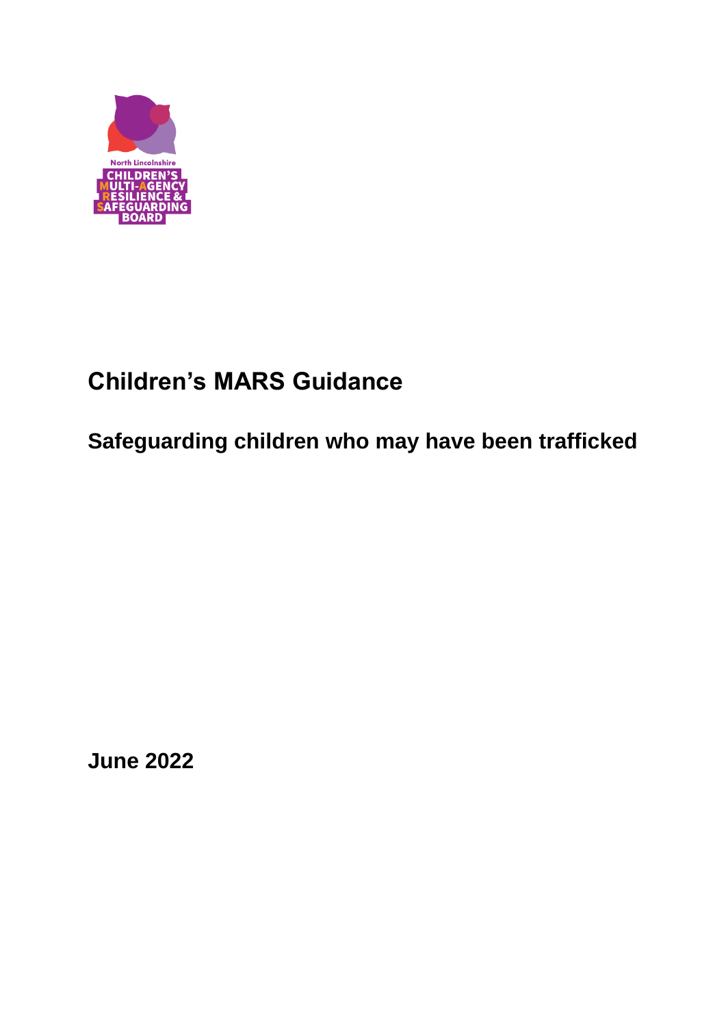

# **Children's MARS Guidance**

# **Safeguarding children who may have been trafficked**

**June 2022**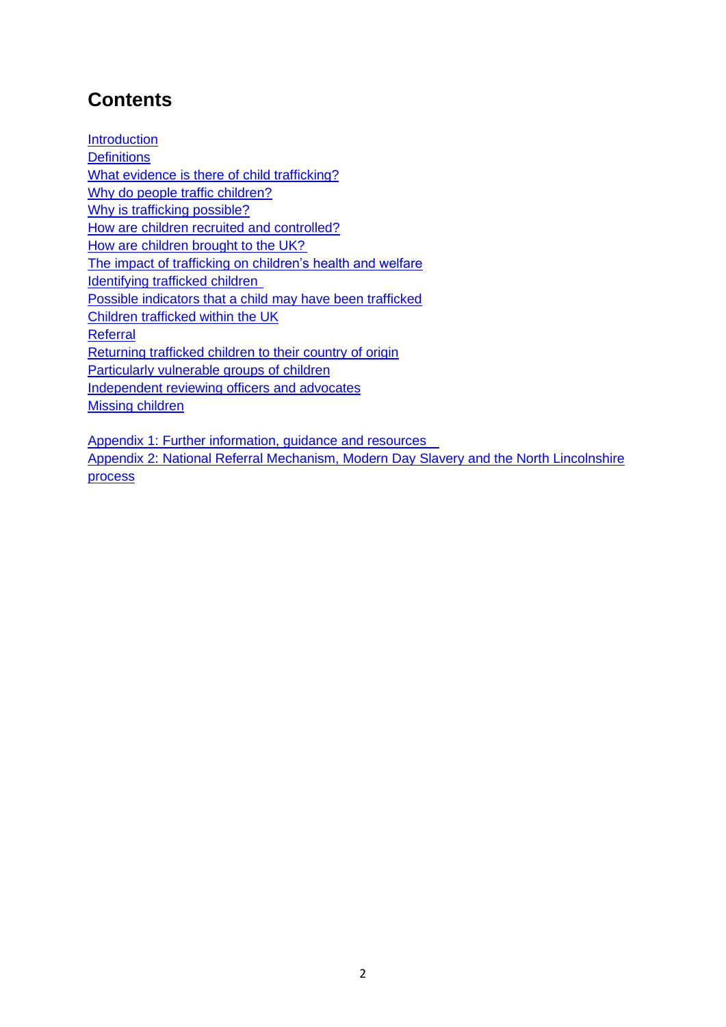# **Contents**

**[Introduction](#page-2-0) [Definitions](#page-2-1)** [What evidence is there of child trafficking?](#page-2-2) [Why do people traffic children?](#page-3-0) [Why is trafficking possible?](#page-3-1) [How are children recruited](#page-3-2) and controlled? [How are children brought to the UK?](#page-4-0) [The impact of trafficking on children's health and welfare](#page-5-0) [Identifying trafficked children](#page-7-0) [Possible indicators that a child](#page-7-1) may have been trafficked [Children trafficked within the UK](#page-9-0) [Referral](#page-9-1) [Returning trafficked children to their country of origin](#page-9-2) [Particularly vulnerable groups of children](#page-10-0) [Independent reviewing officers and advocates](#page-12-0) [Missing children](#page-13-0)

[Appendix 1: Further information, guidance and resources](#page-14-0) [Appendix 2: National Referral Mechanism, Modern Day Slavery](#page-15-0) and the North Lincolnshire [process](#page-15-0)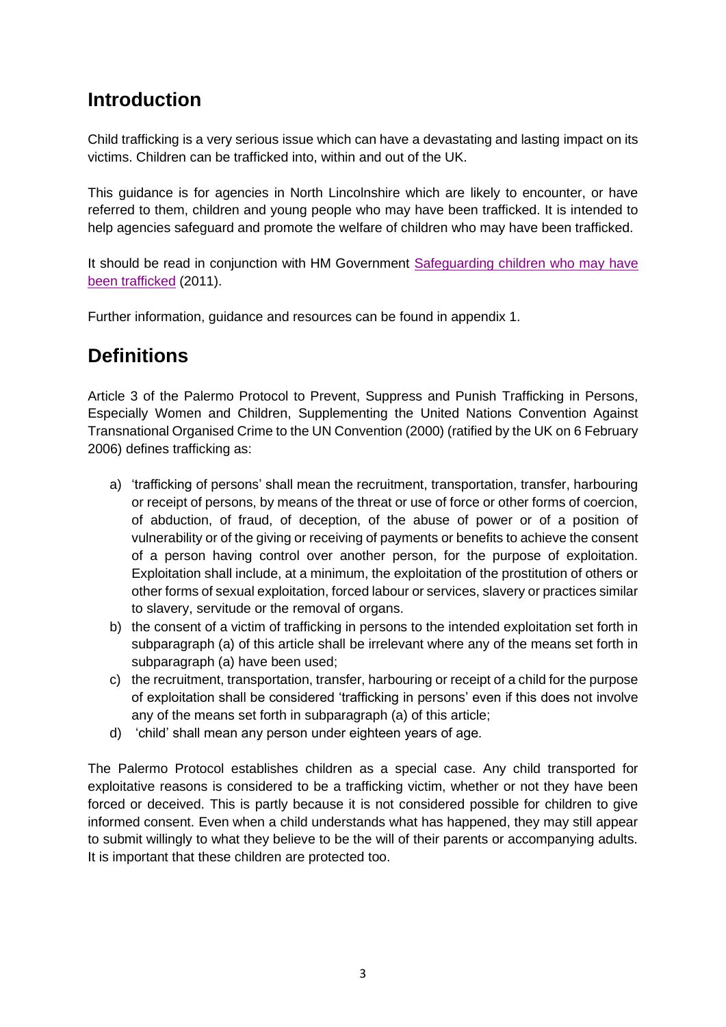### <span id="page-2-0"></span>**Introduction**

Child trafficking is a very serious issue which can have a devastating and lasting impact on its victims. Children can be trafficked into, within and out of the UK.

This guidance is for agencies in North Lincolnshire which are likely to encounter, or have referred to them, children and young people who may have been trafficked. It is intended to help agencies safeguard and promote the welfare of children who may have been trafficked.

It should be read in conjunction with HM Government [Safeguarding children who may have](https://www.gov.uk/government/publications/safeguarding-children-who-may-have-been-trafficked-practice-guidance)  [been trafficked](https://www.gov.uk/government/publications/safeguarding-children-who-may-have-been-trafficked-practice-guidance) (2011).

Further information, guidance and resources can be found in appendix 1.

# <span id="page-2-1"></span>**Definitions**

Article 3 of the Palermo Protocol to Prevent, Suppress and Punish Trafficking in Persons, Especially Women and Children, Supplementing the United Nations Convention Against Transnational Organised Crime to the UN Convention (2000) (ratified by the UK on 6 February 2006) defines trafficking as:

- a) 'trafficking of persons' shall mean the recruitment, transportation, transfer, harbouring or receipt of persons, by means of the threat or use of force or other forms of coercion, of abduction, of fraud, of deception, of the abuse of power or of a position of vulnerability or of the giving or receiving of payments or benefits to achieve the consent of a person having control over another person, for the purpose of exploitation. Exploitation shall include, at a minimum, the exploitation of the prostitution of others or other forms of sexual exploitation, forced labour or services, slavery or practices similar to slavery, servitude or the removal of organs.
- b) the consent of a victim of trafficking in persons to the intended exploitation set forth in subparagraph (a) of this article shall be irrelevant where any of the means set forth in subparagraph (a) have been used;
- c) the recruitment, transportation, transfer, harbouring or receipt of a child for the purpose of exploitation shall be considered 'trafficking in persons' even if this does not involve any of the means set forth in subparagraph (a) of this article;
- d) 'child' shall mean any person under eighteen years of age.

<span id="page-2-2"></span>The Palermo Protocol establishes children as a special case. Any child transported for exploitative reasons is considered to be a trafficking victim, whether or not they have been forced or deceived. This is partly because it is not considered possible for children to give informed consent. Even when a child understands what has happened, they may still appear to submit willingly to what they believe to be the will of their parents or accompanying adults. It is important that these children are protected too.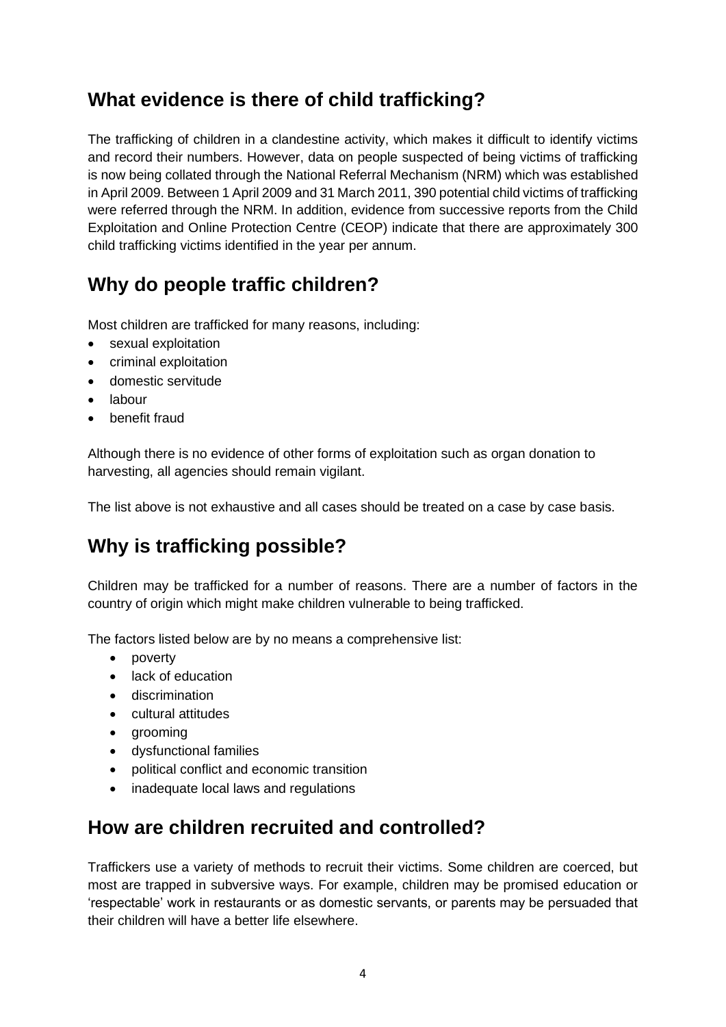# **What evidence is there of child trafficking?**

The trafficking of children in a clandestine activity, which makes it difficult to identify victims and record their numbers. However, data on people suspected of being victims of trafficking is now being collated through the National Referral Mechanism (NRM) which was established in April 2009. Between 1 April 2009 and 31 March 2011, 390 potential child victims of trafficking were referred through the NRM. In addition, evidence from successive reports from the Child Exploitation and Online Protection Centre (CEOP) indicate that there are approximately 300 child trafficking victims identified in the year per annum.

# <span id="page-3-0"></span>**Why do people traffic children?**

Most children are trafficked for many reasons, including:

- sexual exploitation
- criminal exploitation
- domestic servitude
- labour
- benefit fraud

Although there is no evidence of other forms of exploitation such as organ donation to harvesting, all agencies should remain vigilant.

The list above is not exhaustive and all cases should be treated on a case by case basis.

# <span id="page-3-1"></span>**Why is trafficking possible?**

Children may be trafficked for a number of reasons. There are a number of factors in the country of origin which might make children vulnerable to being trafficked.

The factors listed below are by no means a comprehensive list:

- poverty
- lack of education
- discrimination
- cultural attitudes
- grooming
- dysfunctional families
- political conflict and economic transition
- inadequate local laws and regulations

### <span id="page-3-2"></span>**How are children recruited and controlled?**

Traffickers use a variety of methods to recruit their victims. Some children are coerced, but most are trapped in subversive ways. For example, children may be promised education or 'respectable' work in restaurants or as domestic servants, or parents may be persuaded that their children will have a better life elsewhere.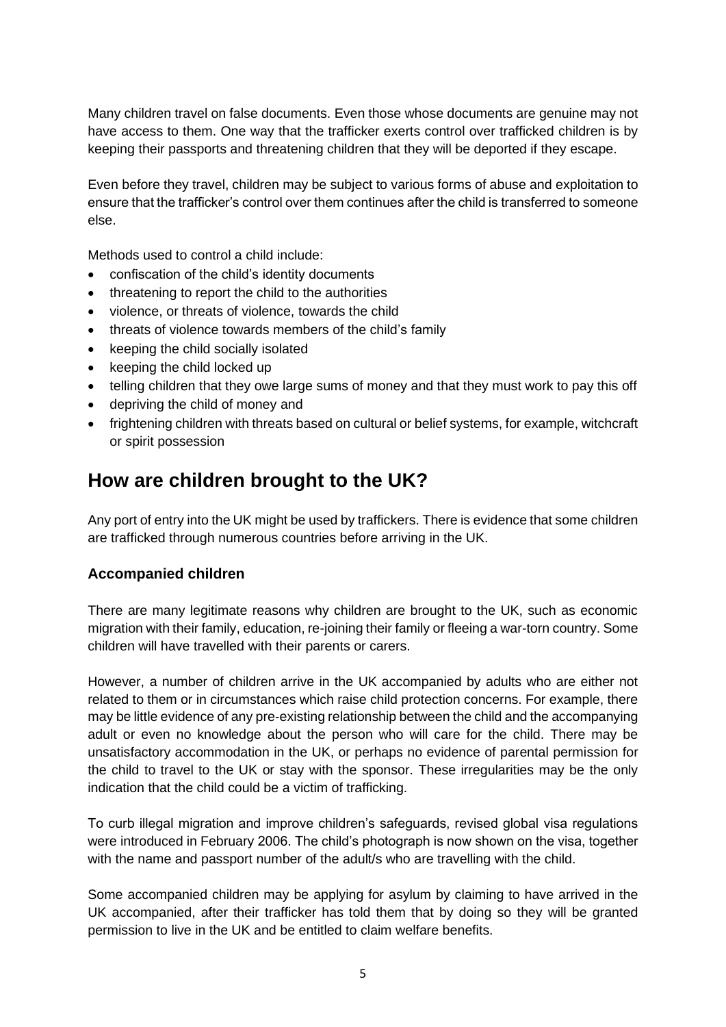Many children travel on false documents. Even those whose documents are genuine may not have access to them. One way that the trafficker exerts control over trafficked children is by keeping their passports and threatening children that they will be deported if they escape.

Even before they travel, children may be subject to various forms of abuse and exploitation to ensure that the trafficker's control over them continues after the child is transferred to someone else.

Methods used to control a child include:

- confiscation of the child's identity documents
- threatening to report the child to the authorities
- violence, or threats of violence, towards the child
- threats of violence towards members of the child's family
- keeping the child socially isolated
- keeping the child locked up
- telling children that they owe large sums of money and that they must work to pay this off
- depriving the child of money and
- frightening children with threats based on cultural or belief systems, for example, witchcraft or spirit possession

### <span id="page-4-0"></span>**How are children brought to the UK?**

Any port of entry into the UK might be used by traffickers. There is evidence that some children are trafficked through numerous countries before arriving in the UK.

#### **Accompanied children**

There are many legitimate reasons why children are brought to the UK, such as economic migration with their family, education, re-joining their family or fleeing a war-torn country. Some children will have travelled with their parents or carers.

However, a number of children arrive in the UK accompanied by adults who are either not related to them or in circumstances which raise child protection concerns. For example, there may be little evidence of any pre-existing relationship between the child and the accompanying adult or even no knowledge about the person who will care for the child. There may be unsatisfactory accommodation in the UK, or perhaps no evidence of parental permission for the child to travel to the UK or stay with the sponsor. These irregularities may be the only indication that the child could be a victim of trafficking.

To curb illegal migration and improve children's safeguards, revised global visa regulations were introduced in February 2006. The child's photograph is now shown on the visa, together with the name and passport number of the adult/s who are travelling with the child.

Some accompanied children may be applying for asylum by claiming to have arrived in the UK accompanied, after their trafficker has told them that by doing so they will be granted permission to live in the UK and be entitled to claim welfare benefits.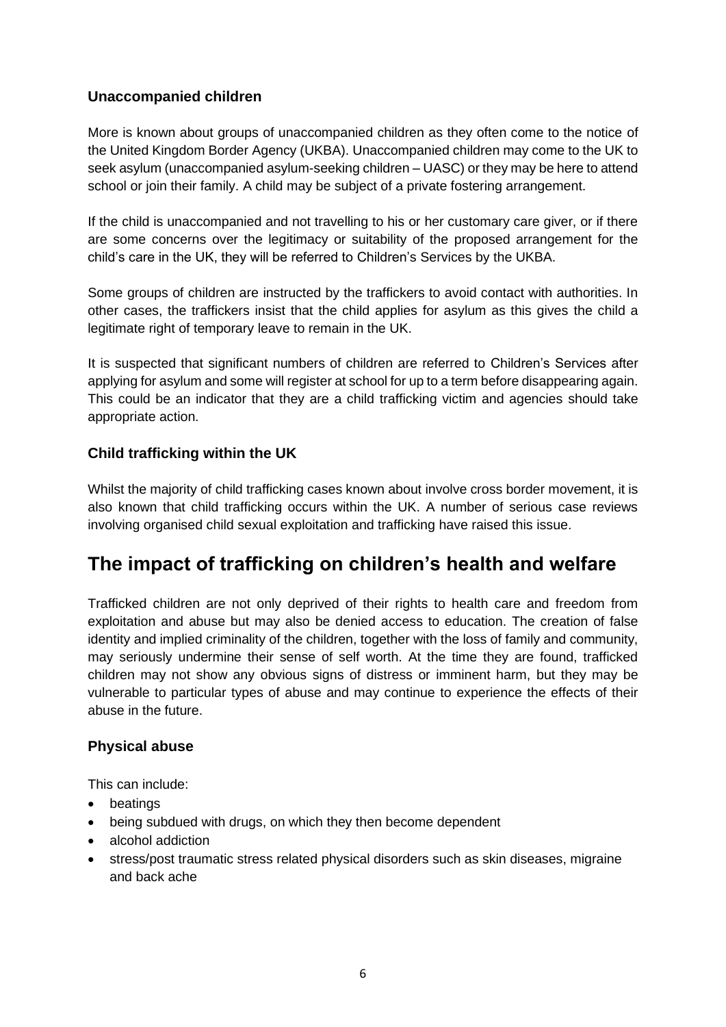#### **Unaccompanied children**

More is known about groups of unaccompanied children as they often come to the notice of the United Kingdom Border Agency (UKBA). Unaccompanied children may come to the UK to seek asylum (unaccompanied asylum-seeking children – UASC) or they may be here to attend school or join their family. A child may be subject of a private fostering arrangement.

If the child is unaccompanied and not travelling to his or her customary care giver, or if there are some concerns over the legitimacy or suitability of the proposed arrangement for the child's care in the UK, they will be referred to Children's Services by the UKBA.

Some groups of children are instructed by the traffickers to avoid contact with authorities. In other cases, the traffickers insist that the child applies for asylum as this gives the child a legitimate right of temporary leave to remain in the UK.

It is suspected that significant numbers of children are referred to Children's Services after applying for asylum and some will register at school for up to a term before disappearing again. This could be an indicator that they are a child trafficking victim and agencies should take appropriate action.

#### **Child trafficking within the UK**

Whilst the majority of child trafficking cases known about involve cross border movement, it is also known that child trafficking occurs within the UK. A number of serious case reviews involving organised child sexual exploitation and trafficking have raised this issue.

### <span id="page-5-0"></span>**The impact of trafficking on children's health and welfare**

Trafficked children are not only deprived of their rights to health care and freedom from exploitation and abuse but may also be denied access to education. The creation of false identity and implied criminality of the children, together with the loss of family and community, may seriously undermine their sense of self worth. At the time they are found, trafficked children may not show any obvious signs of distress or imminent harm, but they may be vulnerable to particular types of abuse and may continue to experience the effects of their abuse in the future.

#### **Physical abuse**

This can include:

- beatings
- being subdued with drugs, on which they then become dependent
- alcohol addiction
- stress/post traumatic stress related physical disorders such as skin diseases, migraine and back ache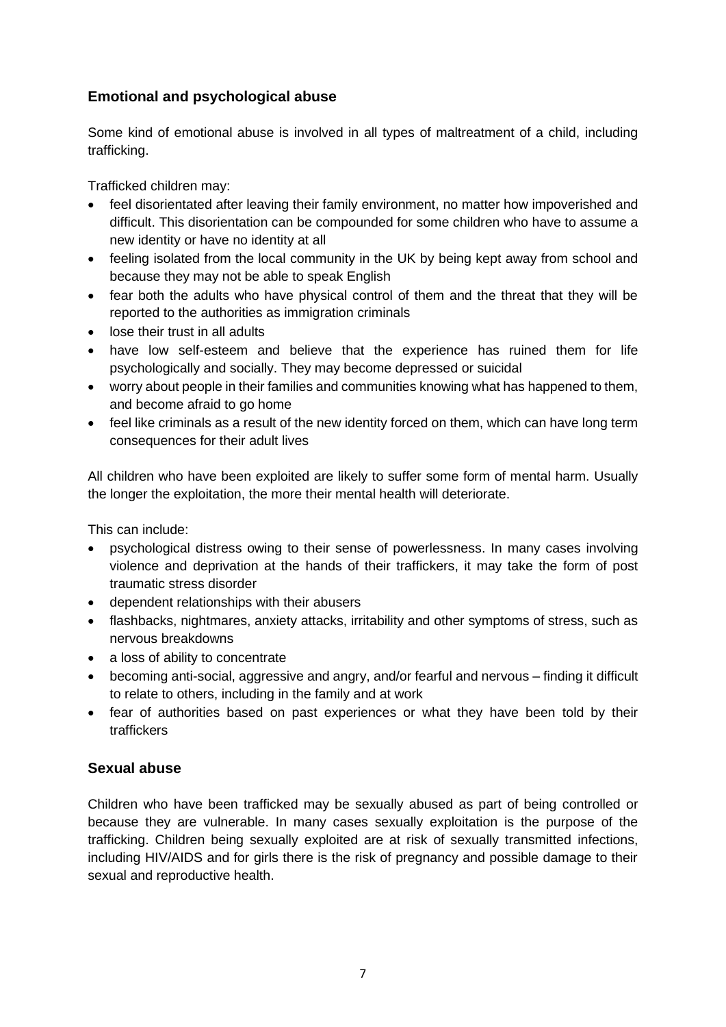#### **Emotional and psychological abuse**

Some kind of emotional abuse is involved in all types of maltreatment of a child, including trafficking.

Trafficked children may:

- feel disorientated after leaving their family environment, no matter how impoverished and difficult. This disorientation can be compounded for some children who have to assume a new identity or have no identity at all
- feeling isolated from the local community in the UK by being kept away from school and because they may not be able to speak English
- fear both the adults who have physical control of them and the threat that they will be reported to the authorities as immigration criminals
- lose their trust in all adults
- have low self-esteem and believe that the experience has ruined them for life psychologically and socially. They may become depressed or suicidal
- worry about people in their families and communities knowing what has happened to them, and become afraid to go home
- feel like criminals as a result of the new identity forced on them, which can have long term consequences for their adult lives

All children who have been exploited are likely to suffer some form of mental harm. Usually the longer the exploitation, the more their mental health will deteriorate.

This can include:

- psychological distress owing to their sense of powerlessness. In many cases involving violence and deprivation at the hands of their traffickers, it may take the form of post traumatic stress disorder
- dependent relationships with their abusers
- flashbacks, nightmares, anxiety attacks, irritability and other symptoms of stress, such as nervous breakdowns
- a loss of ability to concentrate
- becoming anti-social, aggressive and angry, and/or fearful and nervous finding it difficult to relate to others, including in the family and at work
- fear of authorities based on past experiences or what they have been told by their traffickers

#### **Sexual abuse**

Children who have been trafficked may be sexually abused as part of being controlled or because they are vulnerable. In many cases sexually exploitation is the purpose of the trafficking. Children being sexually exploited are at risk of sexually transmitted infections, including HIV/AIDS and for girls there is the risk of pregnancy and possible damage to their sexual and reproductive health.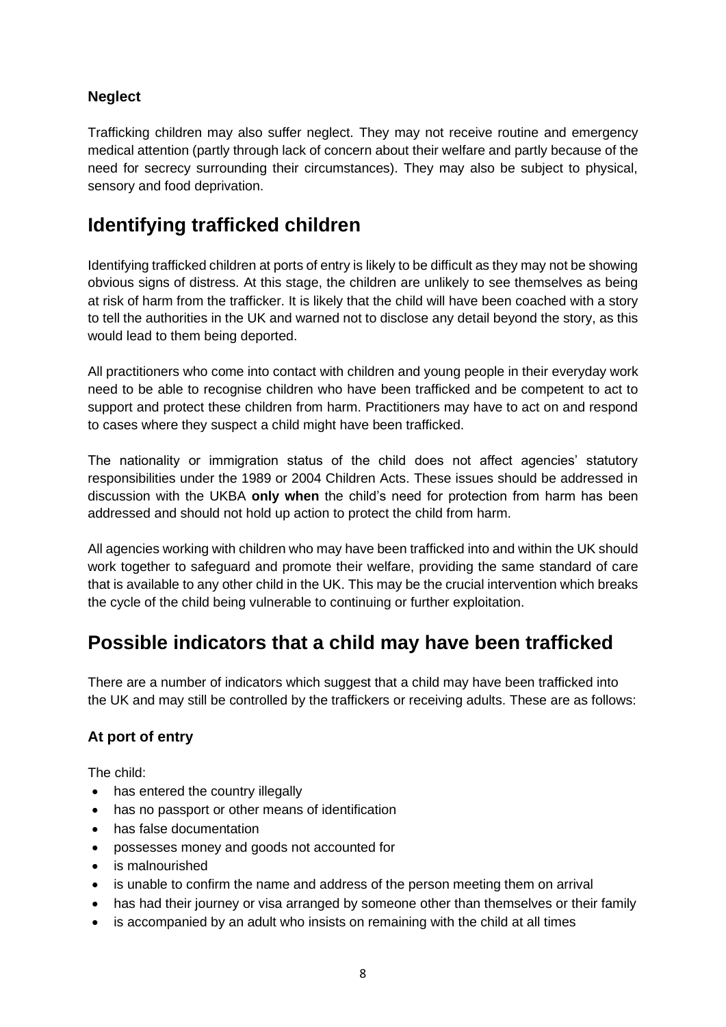### **Neglect**

Trafficking children may also suffer neglect. They may not receive routine and emergency medical attention (partly through lack of concern about their welfare and partly because of the need for secrecy surrounding their circumstances). They may also be subject to physical, sensory and food deprivation.

### <span id="page-7-0"></span>**Identifying trafficked children**

Identifying trafficked children at ports of entry is likely to be difficult as they may not be showing obvious signs of distress. At this stage, the children are unlikely to see themselves as being at risk of harm from the trafficker. It is likely that the child will have been coached with a story to tell the authorities in the UK and warned not to disclose any detail beyond the story, as this would lead to them being deported.

All practitioners who come into contact with children and young people in their everyday work need to be able to recognise children who have been trafficked and be competent to act to support and protect these children from harm. Practitioners may have to act on and respond to cases where they suspect a child might have been trafficked.

The nationality or immigration status of the child does not affect agencies' statutory responsibilities under the 1989 or 2004 Children Acts. These issues should be addressed in discussion with the UKBA **only when** the child's need for protection from harm has been addressed and should not hold up action to protect the child from harm.

All agencies working with children who may have been trafficked into and within the UK should work together to safeguard and promote their welfare, providing the same standard of care that is available to any other child in the UK. This may be the crucial intervention which breaks the cycle of the child being vulnerable to continuing or further exploitation.

### <span id="page-7-1"></span>**Possible indicators that a child may have been trafficked**

There are a number of indicators which suggest that a child may have been trafficked into the UK and may still be controlled by the traffickers or receiving adults. These are as follows:

#### **At port of entry**

The child:

- has entered the country illegally
- has no passport or other means of identification
- has false documentation
- possesses money and goods not accounted for
- is malnourished
- is unable to confirm the name and address of the person meeting them on arrival
- has had their journey or visa arranged by someone other than themselves or their family
- is accompanied by an adult who insists on remaining with the child at all times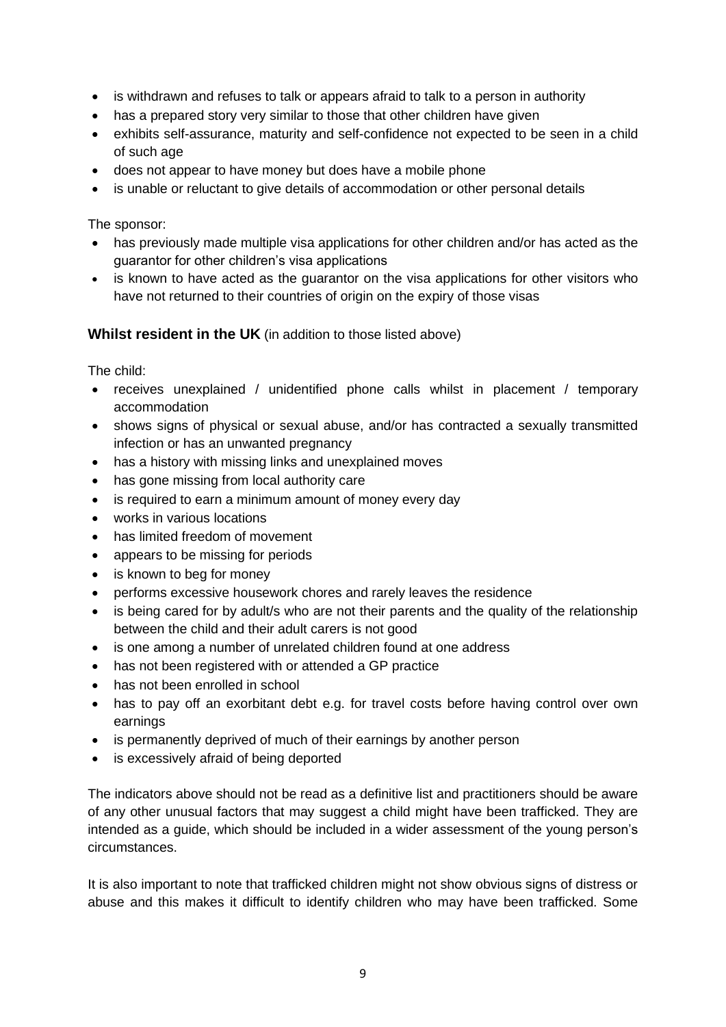- is withdrawn and refuses to talk or appears afraid to talk to a person in authority
- has a prepared story very similar to those that other children have given
- exhibits self-assurance, maturity and self-confidence not expected to be seen in a child of such age
- does not appear to have money but does have a mobile phone
- is unable or reluctant to give details of accommodation or other personal details

The sponsor:

- has previously made multiple visa applications for other children and/or has acted as the guarantor for other children's visa applications
- is known to have acted as the guarantor on the visa applications for other visitors who have not returned to their countries of origin on the expiry of those visas

#### **Whilst resident in the UK** (in addition to those listed above)

The child:

- receives unexplained / unidentified phone calls whilst in placement / temporary accommodation
- shows signs of physical or sexual abuse, and/or has contracted a sexually transmitted infection or has an unwanted pregnancy
- has a history with missing links and unexplained moves
- has gone missing from local authority care
- is required to earn a minimum amount of money every day
- works in various locations
- has limited freedom of movement
- appears to be missing for periods
- is known to beg for money
- performs excessive housework chores and rarely leaves the residence
- is being cared for by adult/s who are not their parents and the quality of the relationship between the child and their adult carers is not good
- is one among a number of unrelated children found at one address
- has not been registered with or attended a GP practice
- has not been enrolled in school
- has to pay off an exorbitant debt e.g. for travel costs before having control over own earnings
- is permanently deprived of much of their earnings by another person
- is excessively afraid of being deported

The indicators above should not be read as a definitive list and practitioners should be aware of any other unusual factors that may suggest a child might have been trafficked. They are intended as a guide, which should be included in a wider assessment of the young person's circumstances.

It is also important to note that trafficked children might not show obvious signs of distress or abuse and this makes it difficult to identify children who may have been trafficked. Some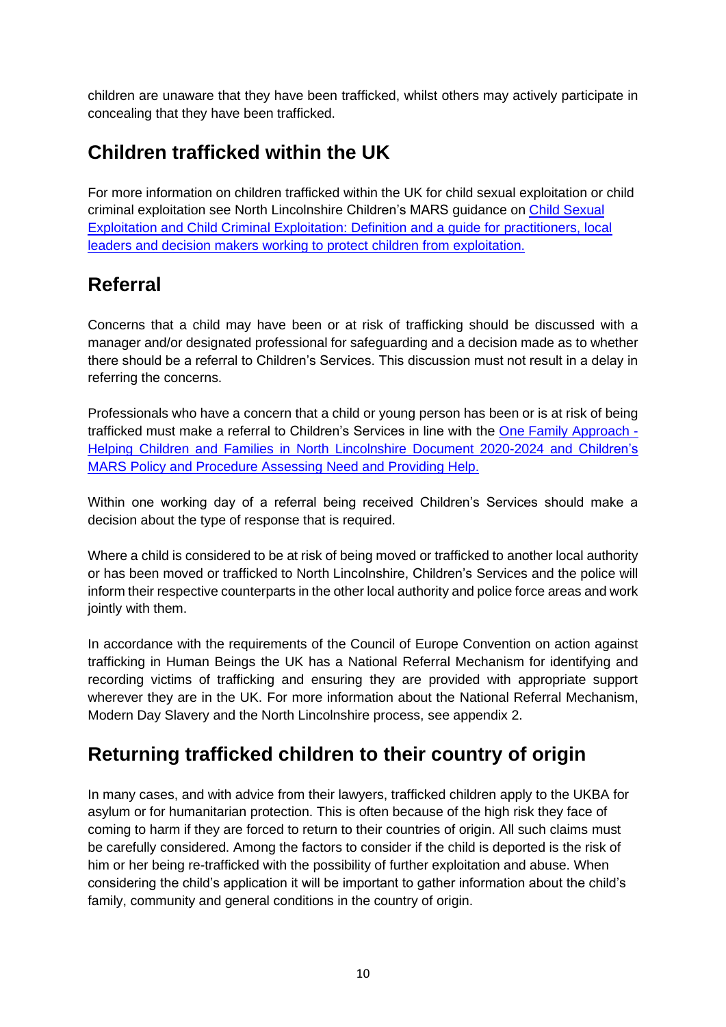children are unaware that they have been trafficked, whilst others may actively participate in concealing that they have been trafficked.

# <span id="page-9-0"></span>**Children trafficked within the UK**

For more information on children trafficked within the UK for child sexual exploitation or child criminal exploitation see North Lincolnshire Children's MARS guidance on [Child Sexual](http://www.northlincscmars.co.uk/policies-procedures-and-guidance/)  Exploitation [and Child Criminal Exploitation: Definition and a guide for practitioners, local](http://www.northlincscmars.co.uk/policies-procedures-and-guidance/)  [leaders and decision makers working to protect children from exploitation.](http://www.northlincscmars.co.uk/policies-procedures-and-guidance/)

### <span id="page-9-1"></span>**Referral**

Concerns that a child may have been or at risk of trafficking should be discussed with a manager and/or designated professional for safeguarding and a decision made as to whether there should be a referral to Children's Services. This discussion must not result in a delay in referring the concerns.

Professionals who have a concern that a child or young person has been or is at risk of being trafficked must make a referral to Children's Services in line with the [One Family Approach -](http://www.northlincscmars.co.uk/policies-procedures-and-guidance/) [Helping Children and Families in North Lincolnshire](http://www.northlincscmars.co.uk/policies-procedures-and-guidance/) Document 2020-2024 and Children's MARS [Policy and Procedure Assessing Need and Providing Help.](http://www.northlincscmars.co.uk/policies-procedures-and-guidance/)

Within one working day of a referral being received Children's Services should make a decision about the type of response that is required.

Where a child is considered to be at risk of being moved or trafficked to another local authority or has been moved or trafficked to North Lincolnshire, Children's Services and the police will inform their respective counterparts in the other local authority and police force areas and work jointly with them.

In accordance with the requirements of the Council of Europe Convention on action against trafficking in Human Beings the UK has a National Referral Mechanism for identifying and recording victims of trafficking and ensuring they are provided with appropriate support wherever they are in the UK. For more information about the National Referral Mechanism, Modern Day Slavery and the North Lincolnshire process, see appendix 2.

# <span id="page-9-2"></span>**Returning trafficked children to their country of origin**

In many cases, and with advice from their lawyers, trafficked children apply to the UKBA for asylum or for humanitarian protection. This is often because of the high risk they face of coming to harm if they are forced to return to their countries of origin. All such claims must be carefully considered. Among the factors to consider if the child is deported is the risk of him or her being re-trafficked with the possibility of further exploitation and abuse. When considering the child's application it will be important to gather information about the child's family, community and general conditions in the country of origin.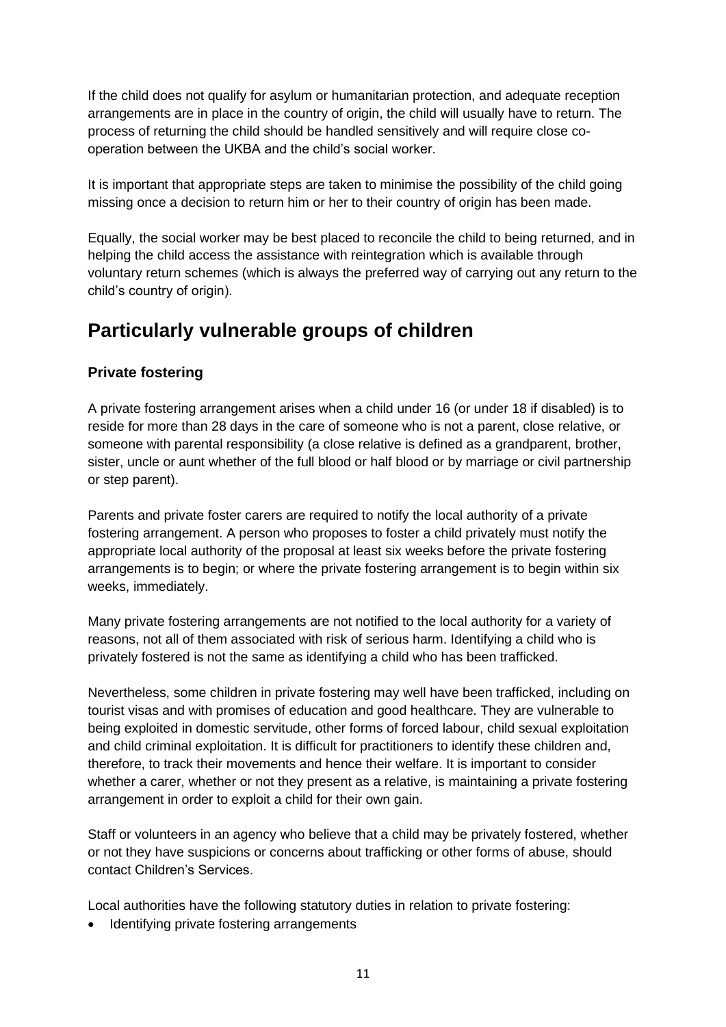If the child does not qualify for asylum or humanitarian protection, and adequate reception arrangements are in place in the country of origin, the child will usually have to return. The process of returning the child should be handled sensitively and will require close cooperation between the UKBA and the child's social worker.

It is important that appropriate steps are taken to minimise the possibility of the child going missing once a decision to return him or her to their country of origin has been made.

Equally, the social worker may be best placed to reconcile the child to being returned, and in helping the child access the assistance with reintegration which is available through voluntary return schemes (which is always the preferred way of carrying out any return to the child's country of origin).

# <span id="page-10-0"></span>**Particularly vulnerable groups of children**

#### **Private fostering**

A private fostering arrangement arises when a child under 16 (or under 18 if disabled) is to reside for more than 28 days in the care of someone who is not a parent, close relative, or someone with parental responsibility (a close relative is defined as a grandparent, brother, sister, uncle or aunt whether of the full blood or half blood or by marriage or civil partnership or step parent).

Parents and private foster carers are required to notify the local authority of a private fostering arrangement. A person who proposes to foster a child privately must notify the appropriate local authority of the proposal at least six weeks before the private fostering arrangements is to begin; or where the private fostering arrangement is to begin within six weeks, immediately.

Many private fostering arrangements are not notified to the local authority for a variety of reasons, not all of them associated with risk of serious harm. Identifying a child who is privately fostered is not the same as identifying a child who has been trafficked.

Nevertheless, some children in private fostering may well have been trafficked, including on tourist visas and with promises of education and good healthcare. They are vulnerable to being exploited in domestic servitude, other forms of forced labour, child sexual exploitation and child criminal exploitation. It is difficult for practitioners to identify these children and, therefore, to track their movements and hence their welfare. It is important to consider whether a carer, whether or not they present as a relative, is maintaining a private fostering arrangement in order to exploit a child for their own gain.

Staff or volunteers in an agency who believe that a child may be privately fostered, whether or not they have suspicions or concerns about trafficking or other forms of abuse, should contact Children's Services.

Local authorities have the following statutory duties in relation to private fostering:

• Identifying private fostering arrangements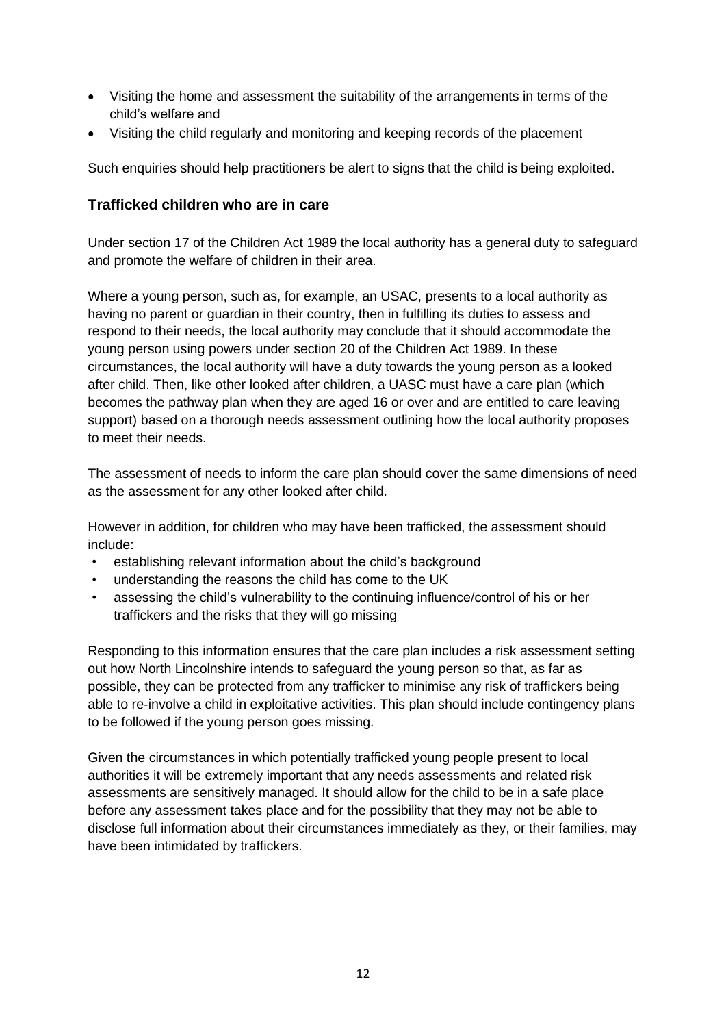- Visiting the home and assessment the suitability of the arrangements in terms of the child's welfare and
- Visiting the child regularly and monitoring and keeping records of the placement

Such enquiries should help practitioners be alert to signs that the child is being exploited.

#### **Trafficked children who are in care**

Under section 17 of the Children Act 1989 the local authority has a general duty to safeguard and promote the welfare of children in their area.

Where a young person, such as, for example, an USAC, presents to a local authority as having no parent or guardian in their country, then in fulfilling its duties to assess and respond to their needs, the local authority may conclude that it should accommodate the young person using powers under section 20 of the Children Act 1989. In these circumstances, the local authority will have a duty towards the young person as a looked after child. Then, like other looked after children, a UASC must have a care plan (which becomes the pathway plan when they are aged 16 or over and are entitled to care leaving support) based on a thorough needs assessment outlining how the local authority proposes to meet their needs.

The assessment of needs to inform the care plan should cover the same dimensions of need as the assessment for any other looked after child.

However in addition, for children who may have been trafficked, the assessment should include:

- establishing relevant information about the child's background
- understanding the reasons the child has come to the UK
- assessing the child's vulnerability to the continuing influence/control of his or her traffickers and the risks that they will go missing

Responding to this information ensures that the care plan includes a risk assessment setting out how North Lincolnshire intends to safeguard the young person so that, as far as possible, they can be protected from any trafficker to minimise any risk of traffickers being able to re-involve a child in exploitative activities. This plan should include contingency plans to be followed if the young person goes missing.

Given the circumstances in which potentially trafficked young people present to local authorities it will be extremely important that any needs assessments and related risk assessments are sensitively managed. It should allow for the child to be in a safe place before any assessment takes place and for the possibility that they may not be able to disclose full information about their circumstances immediately as they, or their families, may have been intimidated by traffickers.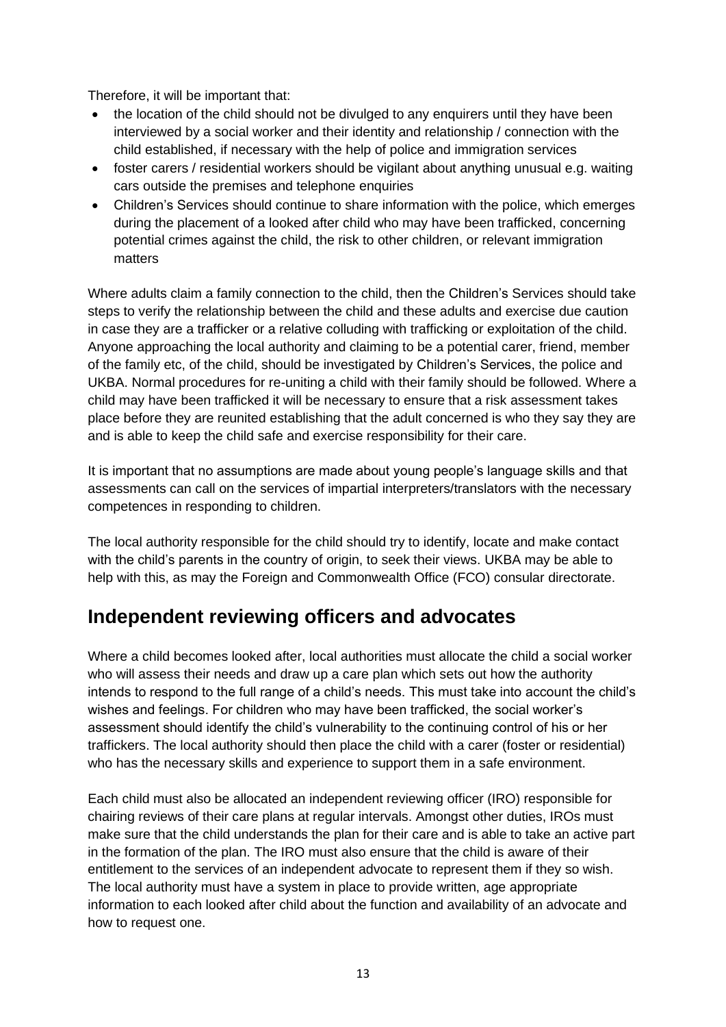Therefore, it will be important that:

- the location of the child should not be divulged to any enquirers until they have been interviewed by a social worker and their identity and relationship / connection with the child established, if necessary with the help of police and immigration services
- foster carers / residential workers should be vigilant about anything unusual e.g. waiting cars outside the premises and telephone enquiries
- Children's Services should continue to share information with the police, which emerges during the placement of a looked after child who may have been trafficked, concerning potential crimes against the child, the risk to other children, or relevant immigration matters

Where adults claim a family connection to the child, then the Children's Services should take steps to verify the relationship between the child and these adults and exercise due caution in case they are a trafficker or a relative colluding with trafficking or exploitation of the child. Anyone approaching the local authority and claiming to be a potential carer, friend, member of the family etc, of the child, should be investigated by Children's Services, the police and UKBA. Normal procedures for re-uniting a child with their family should be followed. Where a child may have been trafficked it will be necessary to ensure that a risk assessment takes place before they are reunited establishing that the adult concerned is who they say they are and is able to keep the child safe and exercise responsibility for their care.

It is important that no assumptions are made about young people's language skills and that assessments can call on the services of impartial interpreters/translators with the necessary competences in responding to children.

The local authority responsible for the child should try to identify, locate and make contact with the child's parents in the country of origin, to seek their views. UKBA may be able to help with this, as may the Foreign and Commonwealth Office (FCO) consular directorate.

### <span id="page-12-0"></span>**Independent reviewing officers and advocates**

Where a child becomes looked after, local authorities must allocate the child a social worker who will assess their needs and draw up a care plan which sets out how the authority intends to respond to the full range of a child's needs. This must take into account the child's wishes and feelings. For children who may have been trafficked, the social worker's assessment should identify the child's vulnerability to the continuing control of his or her traffickers. The local authority should then place the child with a carer (foster or residential) who has the necessary skills and experience to support them in a safe environment.

Each child must also be allocated an independent reviewing officer (IRO) responsible for chairing reviews of their care plans at regular intervals. Amongst other duties, IROs must make sure that the child understands the plan for their care and is able to take an active part in the formation of the plan. The IRO must also ensure that the child is aware of their entitlement to the services of an independent advocate to represent them if they so wish. The local authority must have a system in place to provide written, age appropriate information to each looked after child about the function and availability of an advocate and how to request one.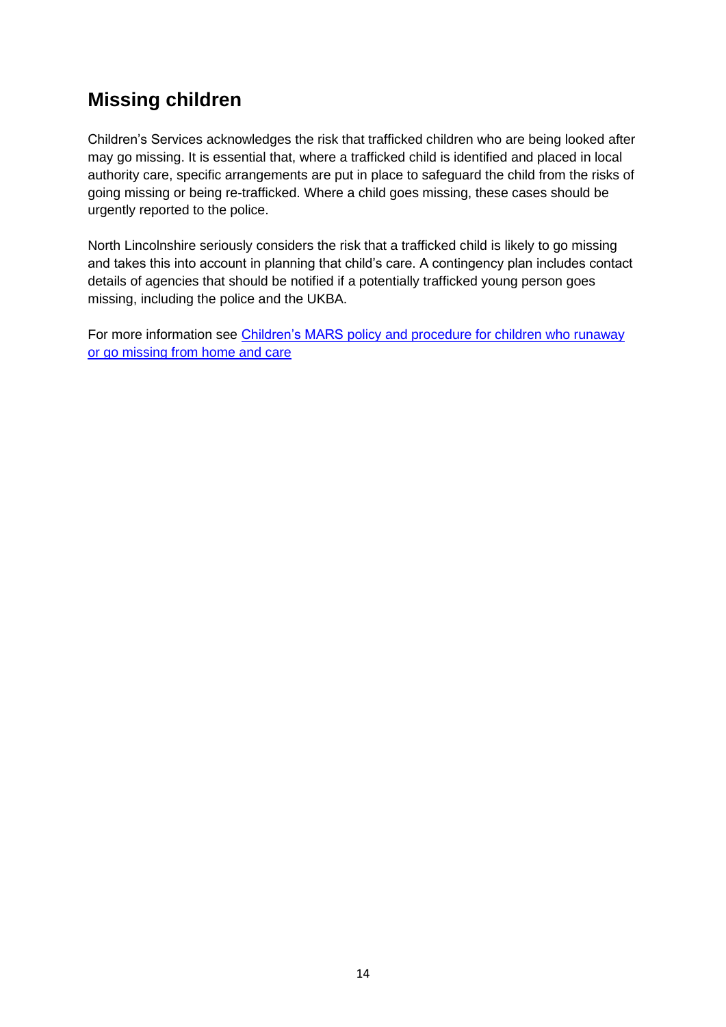### <span id="page-13-0"></span>**Missing children**

Children's Services acknowledges the risk that trafficked children who are being looked after may go missing. It is essential that, where a trafficked child is identified and placed in local authority care, specific arrangements are put in place to safeguard the child from the risks of going missing or being re-trafficked. Where a child goes missing, these cases should be urgently reported to the police.

North Lincolnshire seriously considers the risk that a trafficked child is likely to go missing and takes this into account in planning that child's care. A contingency plan includes contact details of agencies that should be notified if a potentially trafficked young person goes missing, including the police and the UKBA.

For more information see Children's MARS policy and procedure for [children who runaway](http://www.northlincscmars.co.uk/policies-procedures-and-guidance/)  [or go missing from home and care](http://www.northlincscmars.co.uk/policies-procedures-and-guidance/)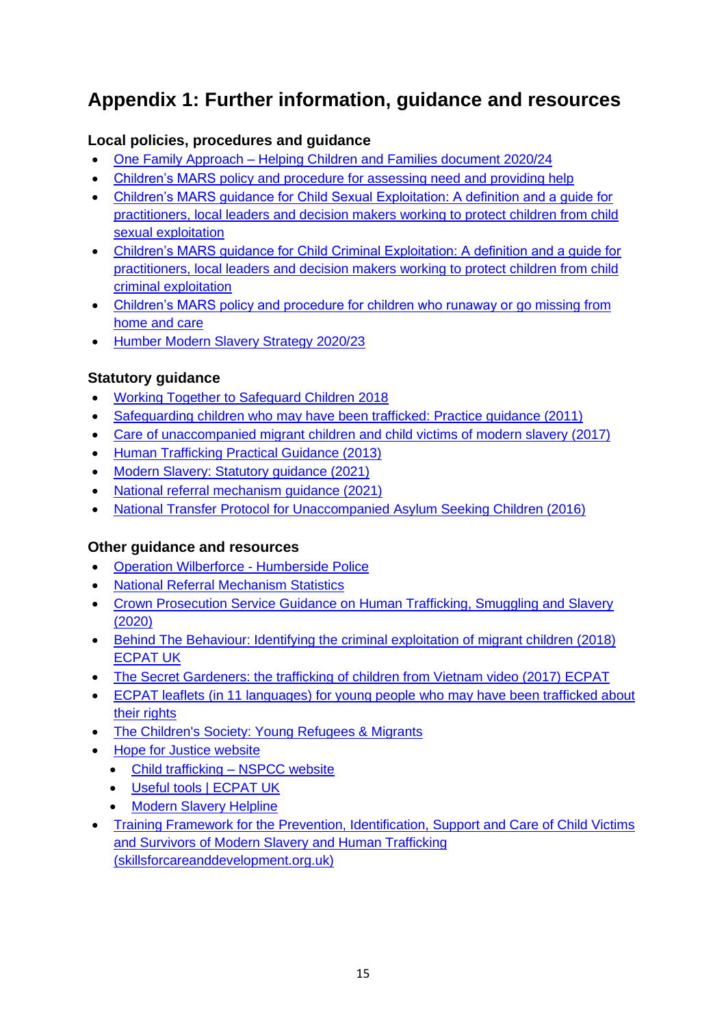# <span id="page-14-0"></span>**Appendix 1: Further information, guidance and resources**

#### **Local policies, procedures and guidance**

- One Family Approach [Helping Children and Families document 2020/24](http://www.northlincscmars.co.uk/policies-procedures-and-guidance/)
- [Children's MARS policy and procedure for assessing need and providing help](http://www.northlincscmars.co.uk/policies-procedures-and-guidance/)
- [Children's MARS guidance for Child Sexual Exploitation: A definition and a guide for](http://www.northlincscmars.co.uk/policies-procedures-and-guidance/)  [practitioners, local leaders and decision makers working to protect children from child](http://www.northlincscmars.co.uk/policies-procedures-and-guidance/)  [sexual exploitation](http://www.northlincscmars.co.uk/policies-procedures-and-guidance/)
- [Children's MARS guidance for Child Criminal Exploitation: A definition and a guide for](http://www.northlincscmars.co.uk/policies-procedures-and-guidance/)  [practitioners, local leaders and decision makers working to protect children from child](http://www.northlincscmars.co.uk/policies-procedures-and-guidance/)  [criminal exploitation](http://www.northlincscmars.co.uk/policies-procedures-and-guidance/)
- [Children's MARS policy and procedure for children who runaway or go missing from](http://www.northlincscmars.co.uk/policies-procedures-and-guidance/)  [home and care](http://www.northlincscmars.co.uk/policies-procedures-and-guidance/)
- [Humber Modern Slavery Strategy 2020/23](https://humberantislave.co.uk/)

### **Statutory guidance**

- [Working Together to Safeguard Children 2018](https://www.gov.uk/government/publications/working-together-to-safeguard-children--2)
- [Safeguarding children who may have been trafficked: Practice guidance \(2011\)](https://www.gov.uk/government/publications/safeguarding-children-who-may-have-been-trafficked-practice-guidance)
- [Care of unaccompanied migrant children and child victims of modern slavery \(2017\)](https://www.gov.uk/government/publications/care-of-unaccompanied-and-trafficked-children)
- [Human Trafficking Practical Guidance \(2013\)](https://www.gov.uk/government/publications/human-trafficking-practical-guidance)
- [Modern Slavery: Statutory guidance \(2021\)](https://www.gov.uk/government/publications/modern-slavery-how-to-identify-and-support-victims)
- [National referral mechanism guidance \(2021\)](https://www.gov.uk/government/publications/human-trafficking-victims-referral-and-assessment-forms/guidance-on-the-national-referral-mechanism-for-potential-adult-victims-of-modern-slavery-england-and-wales)
- [National Transfer Protocol for Unaccompanied Asylum Seeking Children \(2016\)](https://www.gov.uk/government/publications/unaccompanied-asylum-seeking-children-interim-national-transfer-scheme)

#### **Other guidance and resources**

- [Operation Wilberforce -](https://www.humberside.police.uk/operation-wilberforce) Humberside Police
- [National Referral Mechanism](https://www.gov.uk/government/collections/national-referral-mechanism-statistics) Statistics
- [Crown Prosecution Service Guidance on Human Trafficking, Smuggling and Slavery](https://www.cps.gov.uk/legal-guidance/human-trafficking-smuggling-and-slavery)  [\(2020\)](https://www.cps.gov.uk/legal-guidance/human-trafficking-smuggling-and-slavery)
- Behind The Behaviour: Identifying the criminal exploitation of migrant children (2018) [ECPAT UK](https://www.ecpat.org.uk/news/behind-the-behaviour)
- [The Secret Gardeners: the trafficking of children from Vietnam](https://www.ecpat.org.uk/the-secret-gardeners) video (2017) ECPAT
- [ECPAT leaflets \(in 11 languages\) for young people](https://www.ecpat.org.uk/child-friendly-leaflets) who may have been trafficked about [their rights](https://www.ecpat.org.uk/child-friendly-leaflets)
- [The Children's Society: Young Refugees & Migrants](https://www.childrenssociety.org.uk/what-we-do/our-work/young-refugees-migrants)
- **[Hope for Justice](https://hopeforjustice.org/) website** 
	- [Child trafficking –](https://www.nspcc.org.uk/what-is-child-abuse/types-of-abuse/child-trafficking/) NSPCC website
	- [Useful tools | ECPAT UK](https://www.ecpat.org.uk/Pages/Category/useful-tools)
	- [Modern Slavery Helpline](https://www.modernslaveryhelpline.org/)
- [Training Framework for the Prevention, Identification, Support and Care of Child Victims](https://skillsforcareanddevelopment.org.uk/wp-content/uploads/2022/03/2022-CHILDRENS-TRAINING-FRAMEWORK_A4-BOOKLET.pdf)  [and Survivors of Modern Slavery and Human Trafficking](https://skillsforcareanddevelopment.org.uk/wp-content/uploads/2022/03/2022-CHILDRENS-TRAINING-FRAMEWORK_A4-BOOKLET.pdf)  [\(skillsforcareanddevelopment.org.uk\)](https://skillsforcareanddevelopment.org.uk/wp-content/uploads/2022/03/2022-CHILDRENS-TRAINING-FRAMEWORK_A4-BOOKLET.pdf)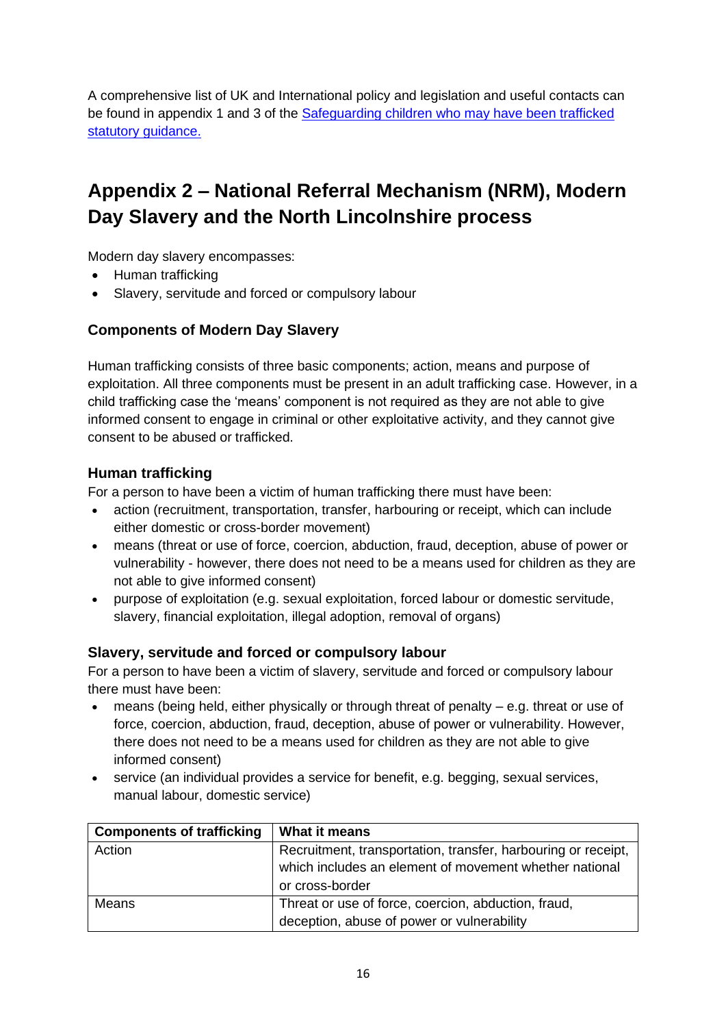A comprehensive list of UK and International policy and legislation and useful contacts can be found in appendix 1 and 3 of the **Safeguarding children who may have been trafficked** [statutory guidance.](https://www.gov.uk/government/publications/safeguarding-children-who-may-have-been-trafficked-practice-guidance)

# <span id="page-15-0"></span>**Appendix 2 – National Referral Mechanism (NRM), Modern Day Slavery and the North Lincolnshire process**

Modern day slavery encompasses:

- Human trafficking
- Slavery, servitude and forced or compulsory labour

#### **Components of Modern Day Slavery**

Human trafficking consists of three basic components; action, means and purpose of exploitation. All three components must be present in an adult trafficking case. However, in a child trafficking case the 'means' component is not required as they are not able to give informed consent to engage in criminal or other exploitative activity, and they cannot give consent to be abused or trafficked.

#### **Human trafficking**

For a person to have been a victim of human trafficking there must have been:

- action (recruitment, transportation, transfer, harbouring or receipt, which can include either domestic or cross-border movement)
- means (threat or use of force, coercion, abduction, fraud, deception, abuse of power or vulnerability - however, there does not need to be a means used for children as they are not able to give informed consent)
- purpose of exploitation (e.g. sexual exploitation, forced labour or domestic servitude, slavery, financial exploitation, illegal adoption, removal of organs)

#### **Slavery, servitude and forced or compulsory labour**

For a person to have been a victim of slavery, servitude and forced or compulsory labour there must have been:

- means (being held, either physically or through threat of penalty e.g. threat or use of force, coercion, abduction, fraud, deception, abuse of power or vulnerability. However, there does not need to be a means used for children as they are not able to give informed consent)
- service (an individual provides a service for benefit, e.g. begging, sexual services, manual labour, domestic service)

| <b>Components of trafficking</b> | What it means                                                 |
|----------------------------------|---------------------------------------------------------------|
| Action                           | Recruitment, transportation, transfer, harbouring or receipt, |
|                                  | which includes an element of movement whether national        |
|                                  | or cross-border                                               |
| Means                            | Threat or use of force, coercion, abduction, fraud,           |
|                                  | deception, abuse of power or vulnerability                    |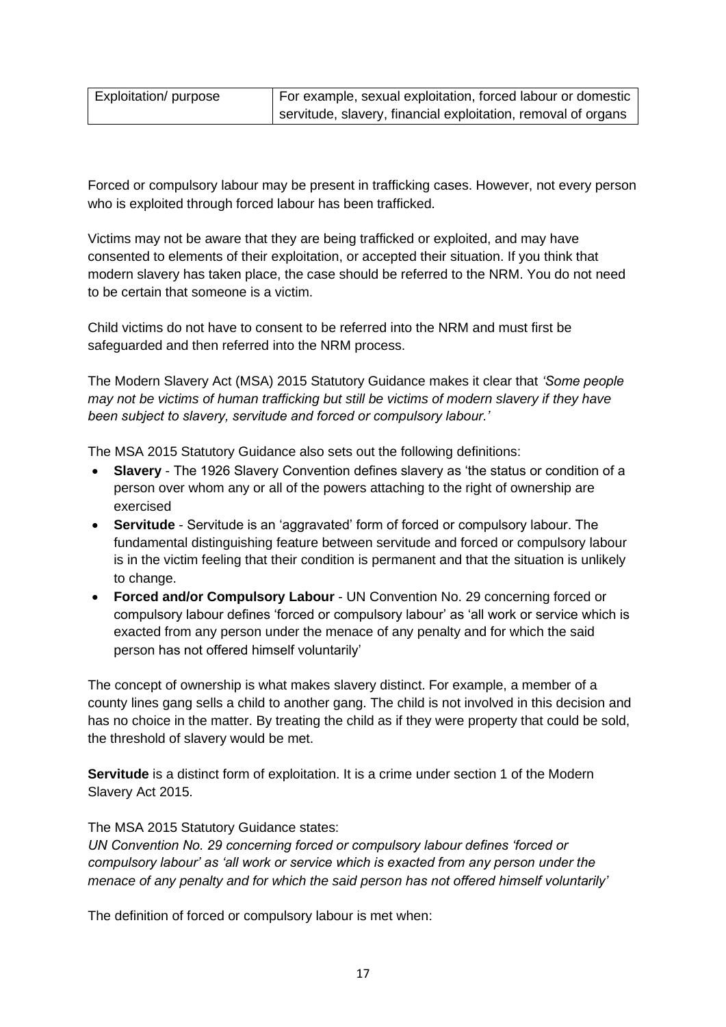| Exploitation/ purpose | For example, sexual exploitation, forced labour or domestic   |
|-----------------------|---------------------------------------------------------------|
|                       | servitude, slavery, financial exploitation, removal of organs |

Forced or compulsory labour may be present in trafficking cases. However, not every person who is exploited through forced labour has been trafficked.

Victims may not be aware that they are being trafficked or exploited, and may have consented to elements of their exploitation, or accepted their situation. If you think that modern slavery has taken place, the case should be referred to the NRM. You do not need to be certain that someone is a victim.

Child victims do not have to consent to be referred into the NRM and must first be safeguarded and then referred into the NRM process.

The Modern Slavery Act (MSA) 2015 Statutory Guidance makes it clear that *'Some people may not be victims of human trafficking but still be victims of modern slavery if they have been subject to slavery, servitude and forced or compulsory labour.'*

The MSA 2015 Statutory Guidance also sets out the following definitions:

- **Slavery** The 1926 Slavery Convention defines slavery as 'the status or condition of a person over whom any or all of the powers attaching to the right of ownership are exercised
- **Servitude** Servitude is an 'aggravated' form of forced or compulsory labour. The fundamental distinguishing feature between servitude and forced or compulsory labour is in the victim feeling that their condition is permanent and that the situation is unlikely to change.
- **Forced and/or Compulsory Labour**  UN Convention No. 29 concerning forced or compulsory labour defines 'forced or compulsory labour' as 'all work or service which is exacted from any person under the menace of any penalty and for which the said person has not offered himself voluntarily'

The concept of ownership is what makes slavery distinct. For example, a member of a county lines gang sells a child to another gang. The child is not involved in this decision and has no choice in the matter. By treating the child as if they were property that could be sold, the threshold of slavery would be met.

**Servitude** is a distinct form of exploitation. It is a crime under section 1 of the Modern Slavery Act 2015.

The MSA 2015 Statutory Guidance states:

*UN Convention No. 29 concerning forced or compulsory labour defines 'forced or compulsory labour' as 'all work or service which is exacted from any person under the menace of any penalty and for which the said person has not offered himself voluntarily'*

The definition of forced or compulsory labour is met when: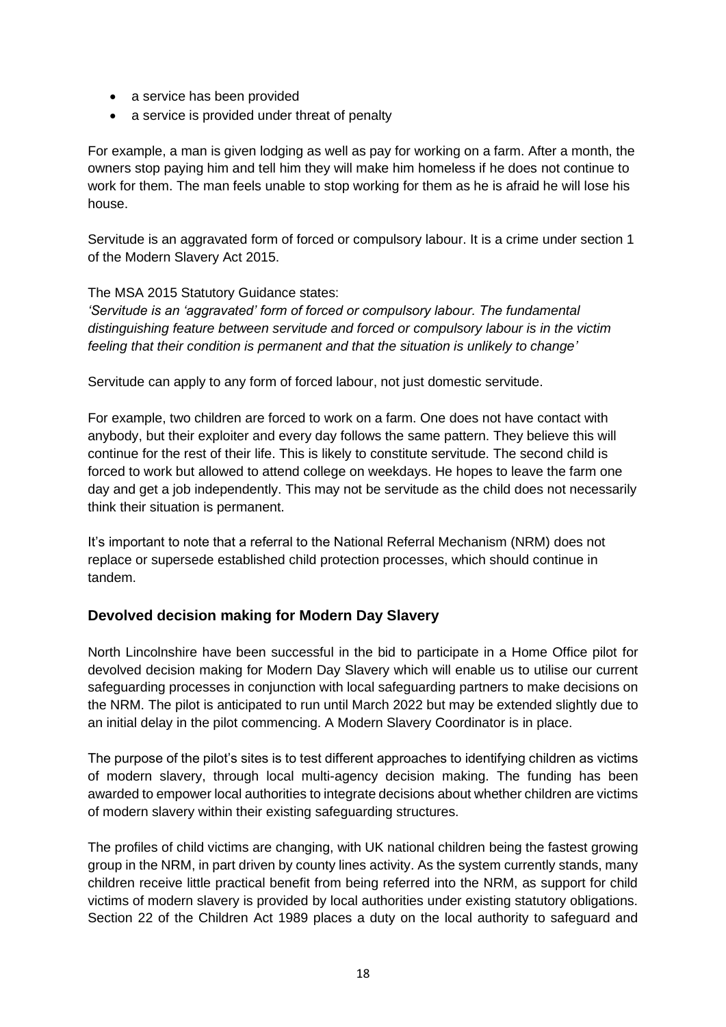- a service has been provided
- a service is provided under threat of penalty

For example, a man is given lodging as well as pay for working on a farm. After a month, the owners stop paying him and tell him they will make him homeless if he does not continue to work for them. The man feels unable to stop working for them as he is afraid he will lose his house.

Servitude is an aggravated form of forced or compulsory labour. It is a crime under section 1 of the Modern Slavery Act 2015.

#### The MSA 2015 Statutory Guidance states:

*'Servitude is an 'aggravated' form of forced or compulsory labour. The fundamental distinguishing feature between servitude and forced or compulsory labour is in the victim feeling that their condition is permanent and that the situation is unlikely to change'*

Servitude can apply to any form of forced labour, not just domestic servitude.

For example, two children are forced to work on a farm. One does not have contact with anybody, but their exploiter and every day follows the same pattern. They believe this will continue for the rest of their life. This is likely to constitute servitude. The second child is forced to work but allowed to attend college on weekdays. He hopes to leave the farm one day and get a job independently. This may not be servitude as the child does not necessarily think their situation is permanent.

It's important to note that a referral to the National Referral Mechanism (NRM) does not replace or supersede established child protection processes, which should continue in tandem.

#### **Devolved decision making for Modern Day Slavery**

North Lincolnshire have been successful in the bid to participate in a Home Office pilot for devolved decision making for Modern Day Slavery which will enable us to utilise our current safeguarding processes in conjunction with local safeguarding partners to make decisions on the NRM. The pilot is anticipated to run until March 2022 but may be extended slightly due to an initial delay in the pilot commencing. A Modern Slavery Coordinator is in place.

The purpose of the pilot's sites is to test different approaches to identifying children as victims of modern slavery, through local multi-agency decision making. The funding has been awarded to empower local authorities to integrate decisions about whether children are victims of modern slavery within their existing safeguarding structures.

The profiles of child victims are changing, with UK national children being the fastest growing group in the NRM, in part driven by county lines activity. As the system currently stands, many children receive little practical benefit from being referred into the NRM, as support for child victims of modern slavery is provided by local authorities under existing statutory obligations. Section 22 of the Children Act 1989 places a duty on the local authority to safeguard and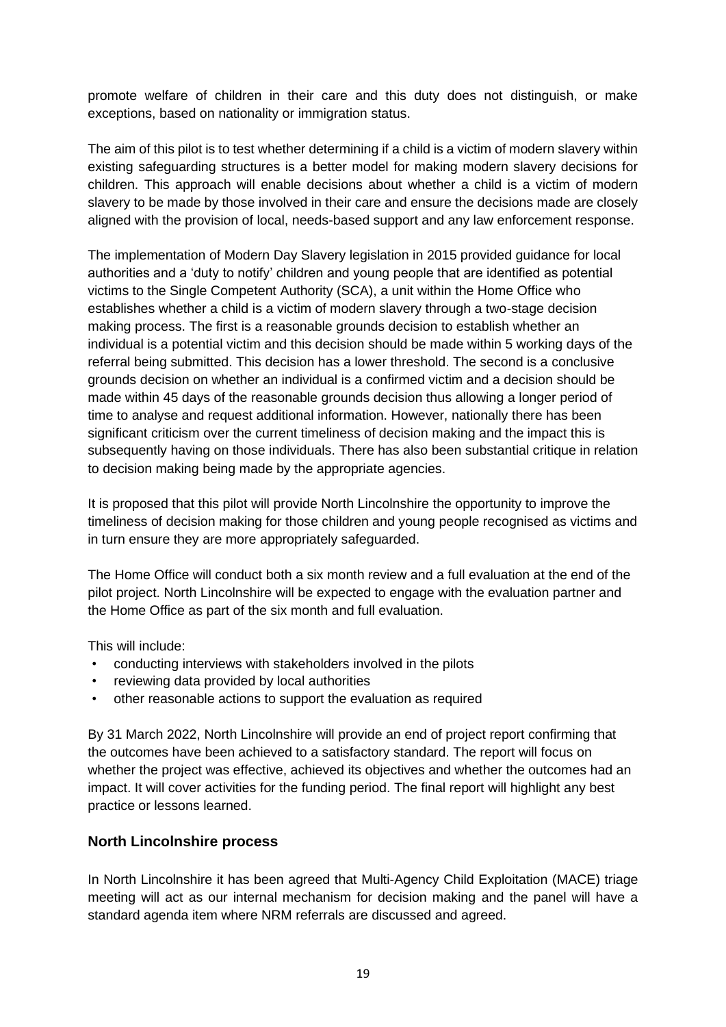promote welfare of children in their care and this duty does not distinguish, or make exceptions, based on nationality or immigration status.

The aim of this pilot is to test whether determining if a child is a victim of modern slavery within existing safeguarding structures is a better model for making modern slavery decisions for children. This approach will enable decisions about whether a child is a victim of modern slavery to be made by those involved in their care and ensure the decisions made are closely aligned with the provision of local, needs-based support and any law enforcement response.

The implementation of Modern Day Slavery legislation in 2015 provided guidance for local authorities and a 'duty to notify' children and young people that are identified as potential victims to the Single Competent Authority (SCA), a unit within the Home Office who establishes whether a child is a victim of modern slavery through a two-stage decision making process. The first is a reasonable grounds decision to establish whether an individual is a potential victim and this decision should be made within 5 working days of the referral being submitted. This decision has a lower threshold. The second is a conclusive grounds decision on whether an individual is a confirmed victim and a decision should be made within 45 days of the reasonable grounds decision thus allowing a longer period of time to analyse and request additional information. However, nationally there has been significant criticism over the current timeliness of decision making and the impact this is subsequently having on those individuals. There has also been substantial critique in relation to decision making being made by the appropriate agencies.

It is proposed that this pilot will provide North Lincolnshire the opportunity to improve the timeliness of decision making for those children and young people recognised as victims and in turn ensure they are more appropriately safeguarded.

The Home Office will conduct both a six month review and a full evaluation at the end of the pilot project. North Lincolnshire will be expected to engage with the evaluation partner and the Home Office as part of the six month and full evaluation.

This will include:

- conducting interviews with stakeholders involved in the pilots
- reviewing data provided by local authorities
- other reasonable actions to support the evaluation as required

By 31 March 2022, North Lincolnshire will provide an end of project report confirming that the outcomes have been achieved to a satisfactory standard. The report will focus on whether the project was effective, achieved its objectives and whether the outcomes had an impact. It will cover activities for the funding period. The final report will highlight any best practice or lessons learned.

#### **North Lincolnshire process**

In North Lincolnshire it has been agreed that Multi-Agency Child Exploitation (MACE) triage meeting will act as our internal mechanism for decision making and the panel will have a standard agenda item where NRM referrals are discussed and agreed.